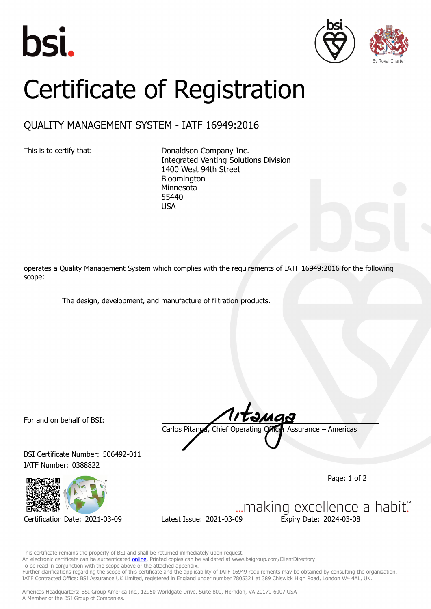





## Certificate of Registration

## QUALITY MANAGEMENT SYSTEM - IATF 16949:2016

This is to certify that: Donaldson Company Inc. Integrated Venting Solutions Division 1400 West 94th Street Bloomington Minnesota 55440 USA

operates a Quality Management System which complies with the requirements of IATF 16949:2016 for the following scope:

The design, development, and manufacture of filtration products.

For and on behalf of BSI:

BSI Certificate Number: 506492-011 IATF Number: 0388822



Carlos Pitanga, Chief Operating Officer Assurance – Americas

Page: 1 of 2

... making excellence a habit." Certification Date: 2021-03-09 Latest Issue: 2021-03-09 Expiry Date: 2024-03-08

This certificate remains the property of BSI and shall be returned immediately upon request.

An electronic certificate can be authenticated **[online](https://pgplus.bsigroup.com/CertificateValidation/CertificateValidator.aspx?CertificateNumber=TS+506492-011&ReIssueDate=09%2f03%2f2021&Template=inc)**. Printed copies can be validated at www.bsigroup.com/ClientDirectory

To be read in conjunction with the scope above or the attached appendix. Further clarifications regarding the scope of this certificate and the applicability of IATF 16949 requirements may be obtained by consulting the organization. IATF Contracted Office: BSI Assurance UK Limited, registered in England under number 7805321 at 389 Chiswick High Road, London W4 4AL, UK.

Americas Headquarters: BSI Group America Inc., 12950 Worldgate Drive, Suite 800, Herndon, VA 20170-6007 USA A Member of the BSI Group of Companies.